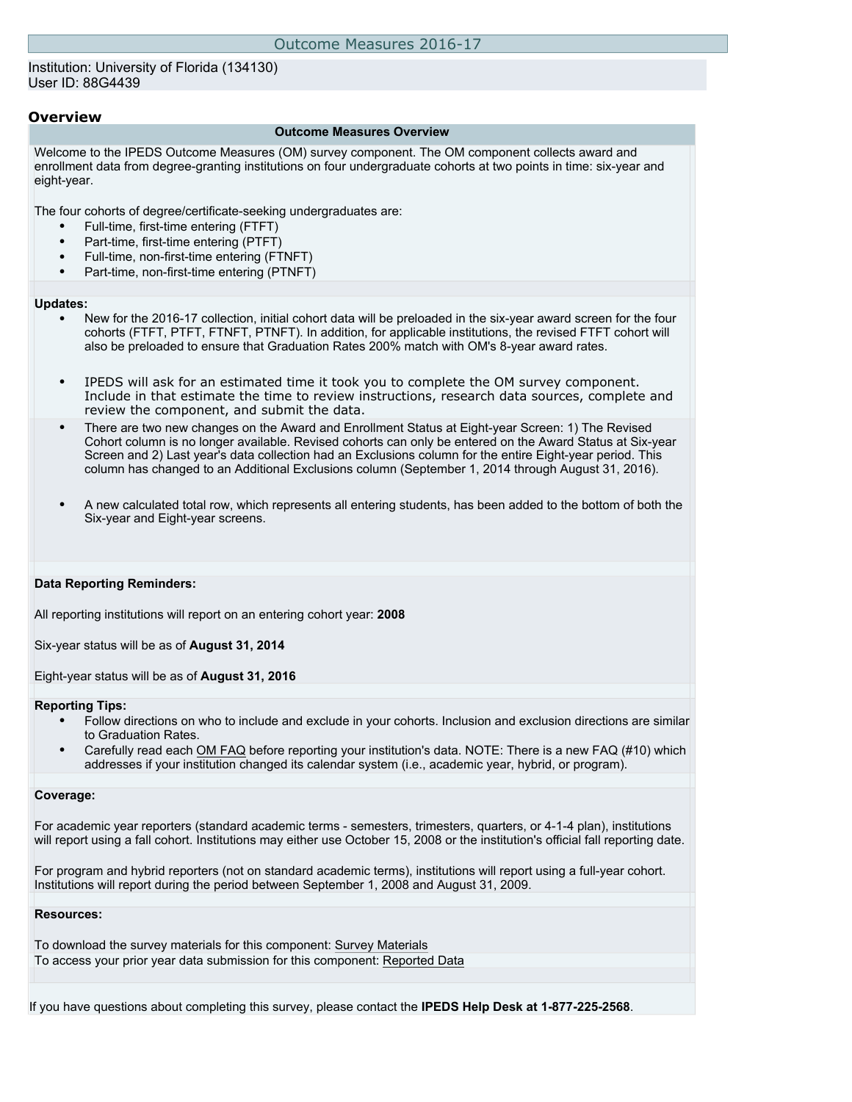## Institution: University of Florida (134130) User ID: 88G4439

## **Overview**

#### **Outcome Measures Overview**

Welcome to the IPEDS Outcome Measures (OM) survey component. The OM component collects award and enrollment data from degree-granting institutions on four undergraduate cohorts at two points in time: six-year and eight-year.

The four cohorts of degree/certificate-seeking undergraduates are:

- Full-time, first-time entering (FTFT)
- Part-time, first-time entering (PTFT)
- Full-time, non-first-time entering (FTNFT)
- Part-time, non-first-time entering (PTNFT)

#### **Updates:**

- New for the 2016-17 collection, initial cohort data will be preloaded in the six-year award screen for the four cohorts (FTFT, PTFT, FTNFT, PTNFT). In addition, for applicable institutions, the revised FTFT cohort will also be preloaded to ensure that Graduation Rates 200% match with OM's 8-year award rates.
- IPEDS will ask for an estimated time it took you to complete the OM survey component. Include in that estimate the time to review instructions, research data sources, complete and review the component, and submit the data.
- There are two new changes on the Award and Enrollment Status at Eight-year Screen: 1) The Revised Cohort column is no longer available. Revised cohorts can only be entered on the Award Status at Six-year Screen and 2) Last year's data collection had an Exclusions column for the entire Eight-year period. This column has changed to an Additional Exclusions column (September 1, 2014 through August 31, 2016).
- A new calculated total row, which represents all entering students, has been added to the bottom of both the Six-year and Eight-year screens.

## **Data Reporting Reminders:**

All reporting institutions will report on an entering cohort year: **2008**

Six-year status will be as of **August 31, 2014**

Eight-year status will be as of **August 31, 2016**

## **Reporting Tips:**

- Follow directions on who to include and exclude in your cohorts. Inclusion and exclusion directions are similar to Graduation Rates.
- Carefully read each [OM FAQ](https://surveys.nces.ed.gov/ipeds/VisFaqView.aspx?mode=reg&id=14&show=all) before reporting your institution's data. NOTE: There is a new FAQ (#10) which addresses if your institution changed its calendar system (i.e., academic year, hybrid, or program).

## **Coverage:**

For academic year reporters (standard academic terms - semesters, trimesters, quarters, or 4-1-4 plan), institutions will report using a fall cohort. Institutions may either use October 15, 2008 or the institution's official fall reporting date.

For program and hybrid reporters (not on standard academic terms), institutions will report using a full-year cohort. Institutions will report during the period between September 1, 2008 and August 31, 2009.

## **Resources:**

To download the survey materials for this component: [Survey Materials](https://surveys.nces.ed.gov/ipeds/VisIndex.aspx) To access your prior year data submission for this component: [Reported Data](http://192.168.102.153/IPEDS/PriorYearDataRedirect.aspx?survey_id=13)

If you have questions about completing this survey, please contact the **IPEDS Help Desk at 1-877-225-2568**.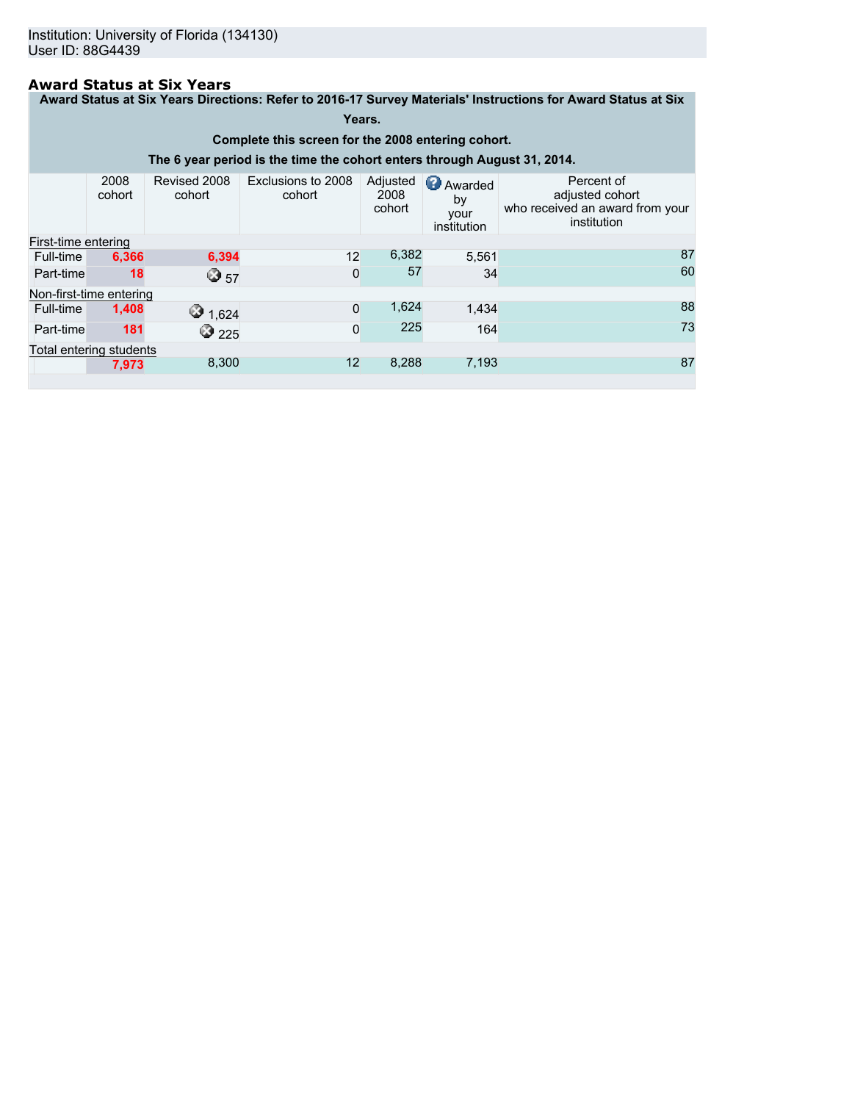# **Award Status at Six Years**

**Award Status at Six Years Directions: Refer to 2016-17 Survey Materials' Instructions for Award Status at Six**

## **Years.**

**Complete this screen for the 2008 entering cohort.**

**The 6 year period is the time the cohort enters through August 31, 2014.**

|                     | 2008<br>cohort          | Revised 2008<br>cohort | Exclusions to 2008<br>cohort | Adjusted<br>2008<br>cohort | <b>Awarded</b><br>by<br>your<br>institution | Percent of<br>adjusted cohort<br>who received an award from your<br>institution |
|---------------------|-------------------------|------------------------|------------------------------|----------------------------|---------------------------------------------|---------------------------------------------------------------------------------|
| First-time entering |                         |                        |                              |                            |                                             |                                                                                 |
| Full-time           | 6,366                   | 6,394                  | 12                           | 6,382                      | 5,561                                       | 87                                                                              |
| Part-time           | 18                      | ☺ 57                   | $\Omega$                     | 57                         | 34                                          | 60                                                                              |
|                     | Non-first-time entering |                        |                              |                            |                                             |                                                                                 |
| Full-time           | 1,408                   | $\bigcirc$ 1,624       | $\Omega$                     | 1,624                      | 1,434                                       | 88                                                                              |
| Part-time           | 181                     | $\bigcirc$ 225         | $\Omega$                     | 225                        | 164                                         | 73                                                                              |
|                     | Total entering students |                        |                              |                            |                                             |                                                                                 |
|                     | 7,973                   | 8,300                  | 12                           | 8,288                      | 7,193                                       | 87                                                                              |
|                     |                         |                        |                              |                            |                                             |                                                                                 |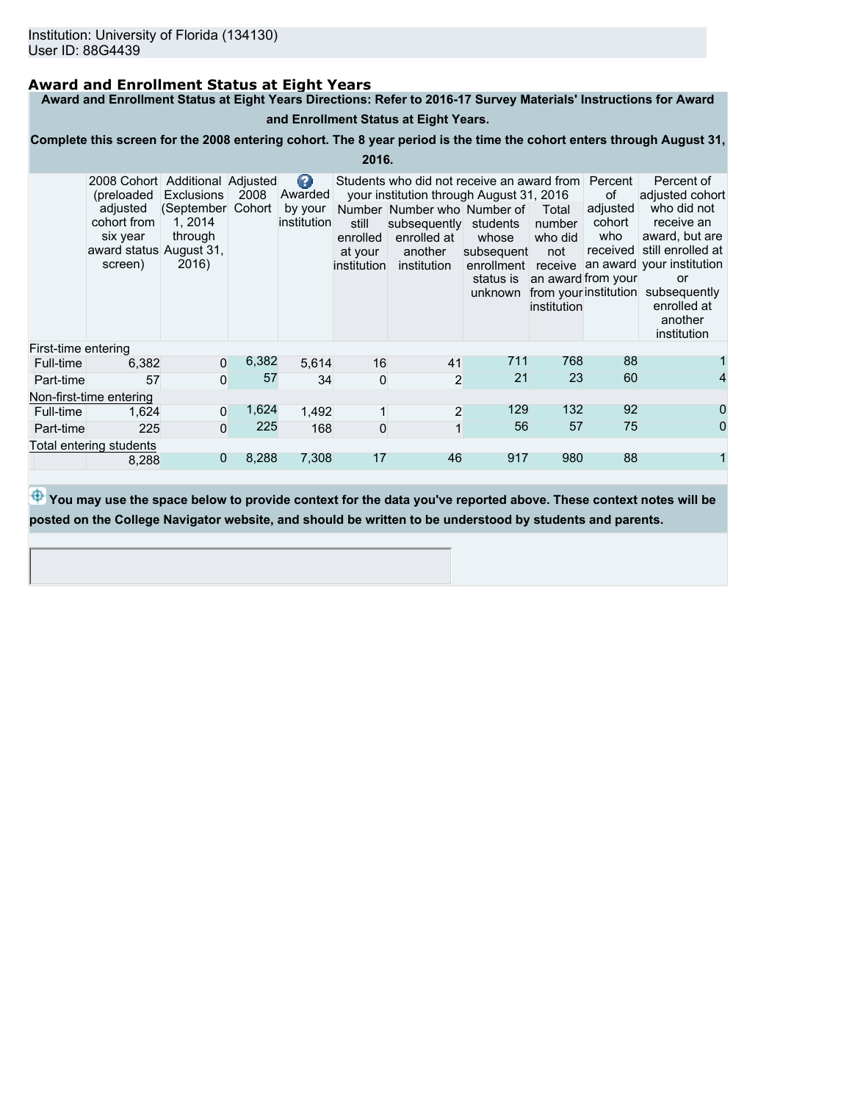# **Award and Enrollment Status at Eight Years**

**Award and Enrollment Status at Eight Years Directions: Refer to 2016-17 Survey Materials' Instructions for Award**

# **and Enrollment Status at Eight Years.**

**Complete this screen for the 2008 entering cohort. The 8 year period is the time the cohort enters through August 31,**

**2016.**

|                         | 2008 Cohort Additional Adjusted<br>(preloaded<br>adjusted<br>cohort from<br>six year<br>award status August 31,<br>screen) | Exclusions<br>(September<br>1.2014<br>through<br>2016) | 2008<br>Cohort | Ø<br>Awarded<br>by your<br>institution | still<br>enrolled<br>at your<br>institution | Students who did not receive an award from Percent<br>your institution through August 31, 2016<br>Number Number who Number of<br>subsequently students<br>enrolled at<br>another<br>institution | whose<br>subsequent<br>enrollment receive<br>status is<br>unknown | Total<br>number<br>who did<br>not<br>an award from your<br>institution | of<br>adjusted<br>cohort<br>who | Percent of<br>adjusted cohort<br>who did not<br>receive an<br>award, but are<br>received still enrolled at<br>an award your institution<br>or<br>from your institution subsequently<br>enrolled at<br>another<br>institution |
|-------------------------|----------------------------------------------------------------------------------------------------------------------------|--------------------------------------------------------|----------------|----------------------------------------|---------------------------------------------|-------------------------------------------------------------------------------------------------------------------------------------------------------------------------------------------------|-------------------------------------------------------------------|------------------------------------------------------------------------|---------------------------------|------------------------------------------------------------------------------------------------------------------------------------------------------------------------------------------------------------------------------|
| First-time entering     |                                                                                                                            |                                                        |                |                                        |                                             |                                                                                                                                                                                                 |                                                                   |                                                                        |                                 |                                                                                                                                                                                                                              |
| Full-time               | 6,382                                                                                                                      | $\Omega$                                               | 6,382          | 5.614                                  | 16                                          | 41                                                                                                                                                                                              | 711                                                               | 768                                                                    | 88                              |                                                                                                                                                                                                                              |
| Part-time               | 57                                                                                                                         | 0                                                      | 57             | 34                                     | 0                                           | $\overline{2}$                                                                                                                                                                                  | 21                                                                | 23                                                                     | 60                              |                                                                                                                                                                                                                              |
|                         | Non-first-time entering                                                                                                    |                                                        |                |                                        |                                             |                                                                                                                                                                                                 |                                                                   |                                                                        |                                 |                                                                                                                                                                                                                              |
| Full-time               | 1,624                                                                                                                      | 0                                                      | 1,624          | 1,492                                  |                                             | $\overline{2}$                                                                                                                                                                                  | 129                                                               | 132                                                                    | 92                              | 0                                                                                                                                                                                                                            |
| Part-time               | 225                                                                                                                        | 0                                                      | 225            | 168                                    | $\Omega$                                    | $\mathbf{1}$                                                                                                                                                                                    | 56                                                                | 57                                                                     | 75                              | 0                                                                                                                                                                                                                            |
| Total entering students |                                                                                                                            |                                                        |                |                                        |                                             |                                                                                                                                                                                                 |                                                                   |                                                                        |                                 |                                                                                                                                                                                                                              |
|                         | 8,288                                                                                                                      | 0                                                      | 8,288          | 7,308                                  | 17                                          | 46                                                                                                                                                                                              | 917                                                               | 980                                                                    | 88                              |                                                                                                                                                                                                                              |

 $\bigoplus$  **You may use the space below to provide context for the data you've reported above. These context notes will be posted on the College Navigator website, and should be written to be understood by students and parents.**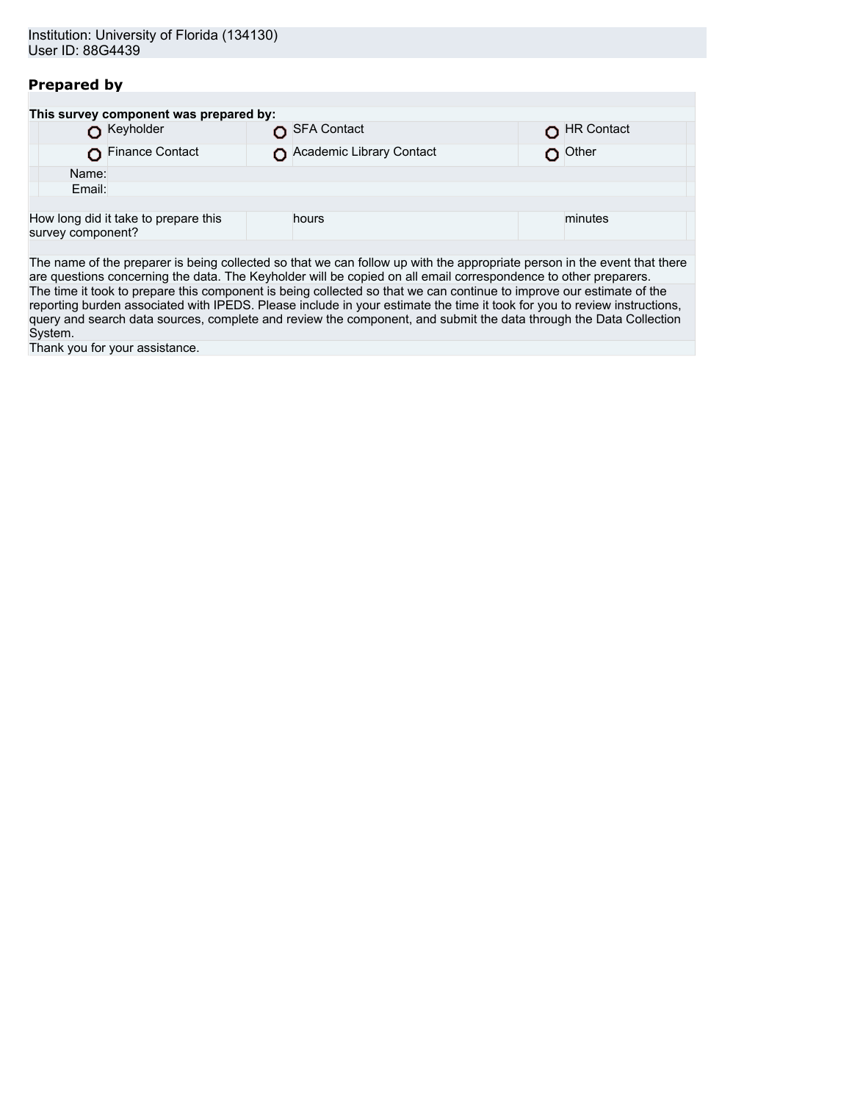# **Prepared by**

|                                                           | This survey component was prepared by: |                          |            |
|-----------------------------------------------------------|----------------------------------------|--------------------------|------------|
| Keyholder                                                 |                                        | SFA Contact              | HR Contact |
|                                                           | Finance Contact                        | Academic Library Contact | Other      |
| Name:                                                     |                                        |                          |            |
| Email:                                                    |                                        |                          |            |
|                                                           |                                        |                          |            |
| How long did it take to prepare this<br>survey component? |                                        | hours                    | minutes    |
|                                                           |                                        |                          |            |

The name of the preparer is being collected so that we can follow up with the appropriate person in the event that there are questions concerning the data. The Keyholder will be copied on all email correspondence to other preparers. The time it took to prepare this component is being collected so that we can continue to improve our estimate of the reporting burden associated with IPEDS. Please include in your estimate the time it took for you to review instructions, query and search data sources, complete and review the component, and submit the data through the Data Collection System.

Thank you for your assistance.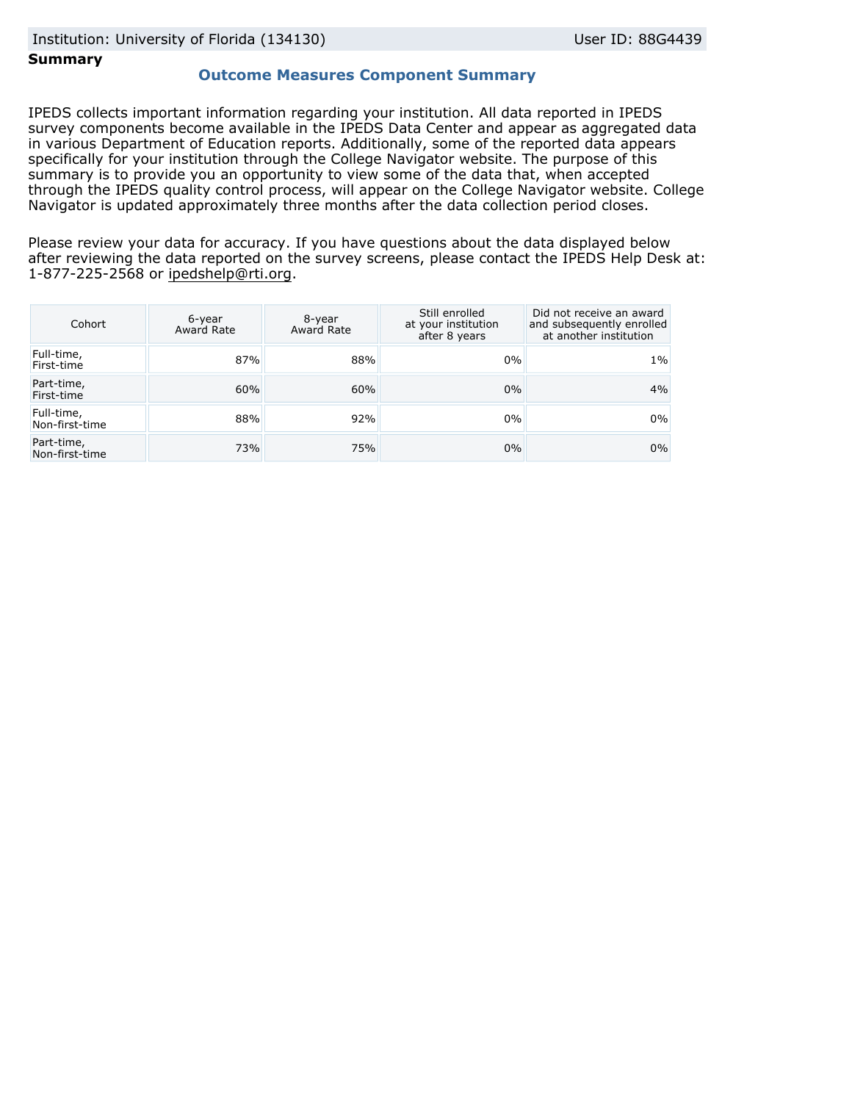# **Summary**

# **Outcome Measures Component Summary**

IPEDS collects important information regarding your institution. All data reported in IPEDS survey components become available in the IPEDS Data Center and appear as aggregated data in various Department of Education reports. Additionally, some of the reported data appears specifically for your institution through the College Navigator website. The purpose of this summary is to provide you an opportunity to view some of the data that, when accepted through the IPEDS quality control process, will appear on the College Navigator website. College Navigator is updated approximately three months after the data collection period closes.

Please review your data for accuracy. If you have questions about the data displayed below after reviewing the data reported on the survey screens, please contact the IPEDS Help Desk at: 1-877-225-2568 or ipedshelp@rti.org.

| Cohort                       | 6-year<br>Award Rate | 8-year<br>Award Rate | Still enrolled<br>at your institution<br>after 8 years | Did not receive an award<br>and subsequently enrolled<br>at another institution |
|------------------------------|----------------------|----------------------|--------------------------------------------------------|---------------------------------------------------------------------------------|
| Full-time,<br>First-time     | 87%                  | 88%                  | 0%                                                     | $1\%$                                                                           |
| Part-time,<br>First-time     | 60%                  | 60%                  | $0\%$                                                  | 4%                                                                              |
| Full-time,<br>Non-first-time | 88%                  | 92%                  | $0\%$                                                  | 0%                                                                              |
| Part-time,<br>Non-first-time | 73%                  | 75%                  | $0\%$                                                  | $0\%$                                                                           |